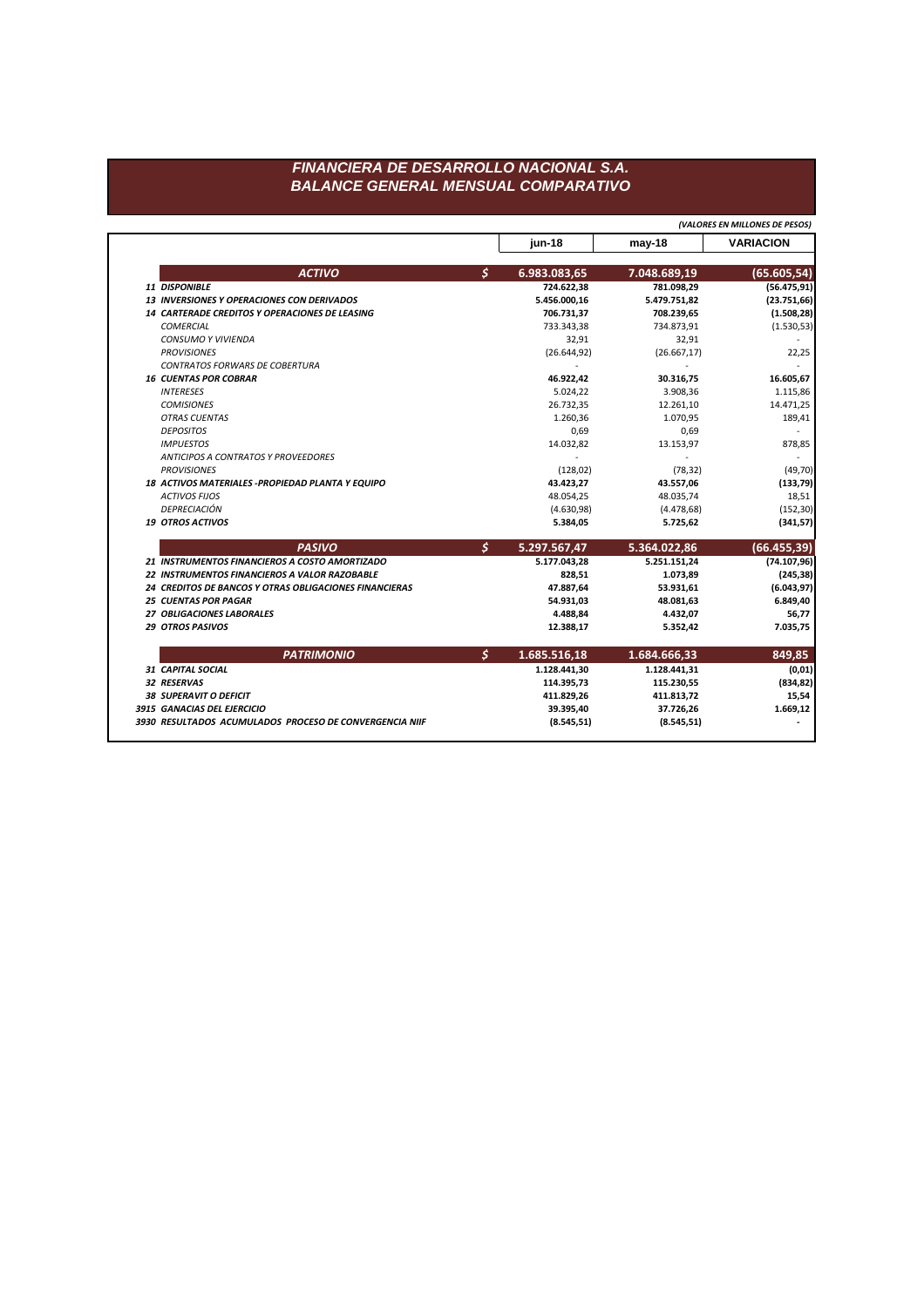**jun-18 may-18 VARIACION** *ACTIVO \$* **6.983.083,65 7.048.689,19 (65.605,54)** *11 DISPONIBLE* **724.622,38 781.098,29 (56.475,91)** *13 INVERSIONES Y OPERACIONES CON DERIVADOS* **5.456.000,16 5.479.751,82 (23.751,66)** *14 CARTERADE CREDITOS Y OPERACIONES DE LEASING* **706.731,37 708.239,65 (1.508,28)** *COMERCIAL* 733.343,38 734.873,91 (1.530,53) *CONSUMO Y VIVIENDA* 32,91 32,91 - *PROVISIONES* (26.644,92) (26.667,17) 22,25 *CONTRATOS FORWARS DE COBERTURA* - - - *16 CUENTAS POR COBRAR* **46.922,42 30.316,75 16.605,67** *INTERESES* 5.024,22 3.908,36 1.115,86 *COMISIONES* 26.732,35 12.261,10 14.471,25 *OTRAS CUENTAS* 1.260,36 1.070,95 189,41 *DEPOSITOS* 0,69 0,69 - *IMPUESTOS* 14.032,82 13.153,97 878,85 *ANTICIPOS A CONTRATOS Y PROVEEDORES* - - - *PROVISIONES* (128,02) (78,32) (49,70) *18 ACTIVOS MATERIALES -PROPIEDAD PLANTA Y EQUIPO* **43.423,27 43.557,06 (133,79)** *ACTIVOS FIJOS* 48.054,25 48.035,74 18,51 *DEPRECIACIÓN* (4.630,98) (4.478,68) (152,30) *19 OTROS ACTIVOS* **5.384,05 5.725,62 (341,57)** *PASIVO \$* **5.297.567,47 5.364.022,86 (66.455,39)** *21 INSTRUMENTOS FINANCIEROS A COSTO AMORTIZADO* **5.177.043,28 5.251.151,24 (74.107,96)** *22 INSTRUMENTOS FINANCIEROS A VALOR RAZOBABLE* **828,51 1.073,89 (245,38)** *24 CREDITOS DE BANCOS Y OTRAS OBLIGACIONES FINANCIERAS* **47.887,64 53.931,61 (6.043,97)** *25 CUENTAS POR PAGAR* **54.931,03 48.081,63 6.849,40** *27 OBLIGACIONES LABORALES* **4.488,84 4.432,07 56,77** *29 OTROS PASIVOS* **12.388,17 5.352,42 7.035,75** *PATRIMONIO \$* **1.685.516,18 1.684.666,33 849,85** *31 CAPITAL SOCIAL* **1.128.441,30 1.128.441,31 (0,01)** *32 RESERVAS* **114.395,73 115.230,55 (834,82)** *38 SUPERAVIT O DEFICIT* **411.829,26 411.813,72 15,54** *3915 GANACIAS DEL EJERCICIO* **39.395,40 37.726,26 1.669,12** *3930 RESULTADOS ACUMULADOS PROCESO DE CONVERGENCIA NIIF* **(8.545,51) (8.545,51) -** *(VALORES EN MILLONES DE PESOS)*

## *FINANCIERA DE DESARROLLO NACIONAL S.A. BALANCE GENERAL MENSUAL COMPARATIVO*